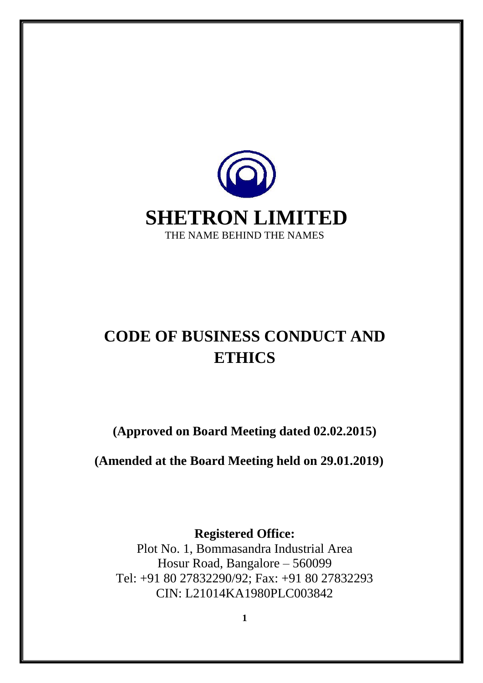

# **CODE OF BUSINESS CONDUCT AND ETHICS**

**(Approved on Board Meeting dated 02.02.2015)**

**(Amended at the Board Meeting held on 29.01.2019)**

**Registered Office:** 

Plot No. 1, Bommasandra Industrial Area Hosur Road, Bangalore – 560099 Tel: +91 80 27832290/92; Fax: +91 80 27832293 CIN: L21014KA1980PLC003842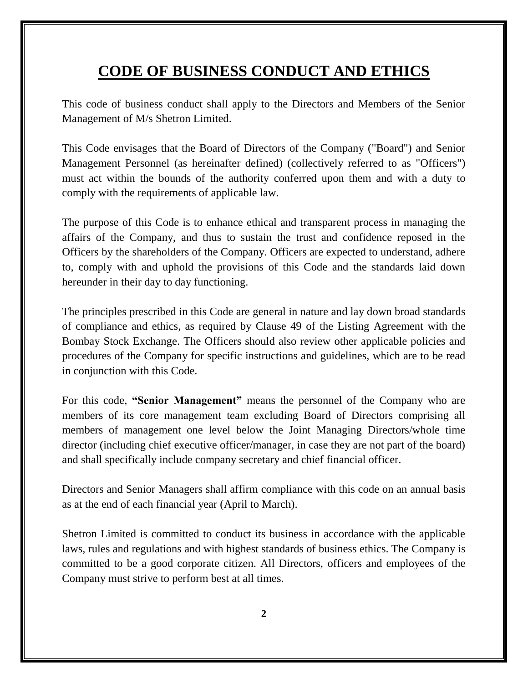# **CODE OF BUSINESS CONDUCT AND ETHICS**

This code of business conduct shall apply to the Directors and Members of the Senior Management of M/s Shetron Limited.

This Code envisages that the Board of Directors of the Company ("Board") and Senior Management Personnel (as hereinafter defined) (collectively referred to as "Officers") must act within the bounds of the authority conferred upon them and with a duty to comply with the requirements of applicable law.

The purpose of this Code is to enhance ethical and transparent process in managing the affairs of the Company, and thus to sustain the trust and confidence reposed in the Officers by the shareholders of the Company. Officers are expected to understand, adhere to, comply with and uphold the provisions of this Code and the standards laid down hereunder in their day to day functioning.

The principles prescribed in this Code are general in nature and lay down broad standards of compliance and ethics, as required by Clause 49 of the Listing Agreement with the Bombay Stock Exchange. The Officers should also review other applicable policies and procedures of the Company for specific instructions and guidelines, which are to be read in conjunction with this Code.

For this code, **"Senior Management"** means the personnel of the Company who are members of its core management team excluding Board of Directors comprising all members of management one level below the Joint Managing Directors/whole time director (including chief executive officer/manager, in case they are not part of the board) and shall specifically include company secretary and chief financial officer.

Directors and Senior Managers shall affirm compliance with this code on an annual basis as at the end of each financial year (April to March).

Shetron Limited is committed to conduct its business in accordance with the applicable laws, rules and regulations and with highest standards of business ethics. The Company is committed to be a good corporate citizen. All Directors, officers and employees of the Company must strive to perform best at all times.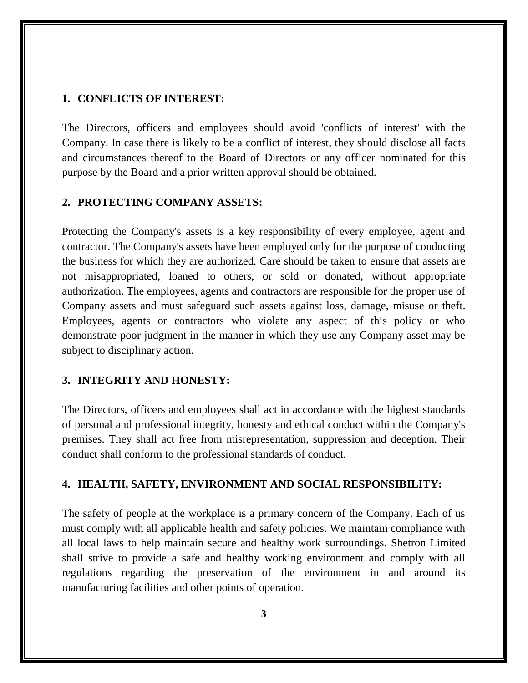#### **1. CONFLICTS OF INTEREST:**

The Directors, officers and employees should avoid 'conflicts of interest' with the Company. In case there is likely to be a conflict of interest, they should disclose all facts and circumstances thereof to the Board of Directors or any officer nominated for this purpose by the Board and a prior written approval should be obtained.

#### **2. PROTECTING COMPANY ASSETS:**

Protecting the Company's assets is a key responsibility of every employee, agent and contractor. The Company's assets have been employed only for the purpose of conducting the business for which they are authorized. Care should be taken to ensure that assets are not misappropriated, loaned to others, or sold or donated, without appropriate authorization. The employees, agents and contractors are responsible for the proper use of Company assets and must safeguard such assets against loss, damage, misuse or theft. Employees, agents or contractors who violate any aspect of this policy or who demonstrate poor judgment in the manner in which they use any Company asset may be subject to disciplinary action.

#### **3. INTEGRITY AND HONESTY:**

The Directors, officers and employees shall act in accordance with the highest standards of personal and professional integrity, honesty and ethical conduct within the Company's premises. They shall act free from misrepresentation, suppression and deception. Their conduct shall conform to the professional standards of conduct.

#### **4. HEALTH, SAFETY, ENVIRONMENT AND SOCIAL RESPONSIBILITY:**

The safety of people at the workplace is a primary concern of the Company. Each of us must comply with all applicable health and safety policies. We maintain compliance with all local laws to help maintain secure and healthy work surroundings. Shetron Limited shall strive to provide a safe and healthy working environment and comply with all regulations regarding the preservation of the environment in and around its manufacturing facilities and other points of operation.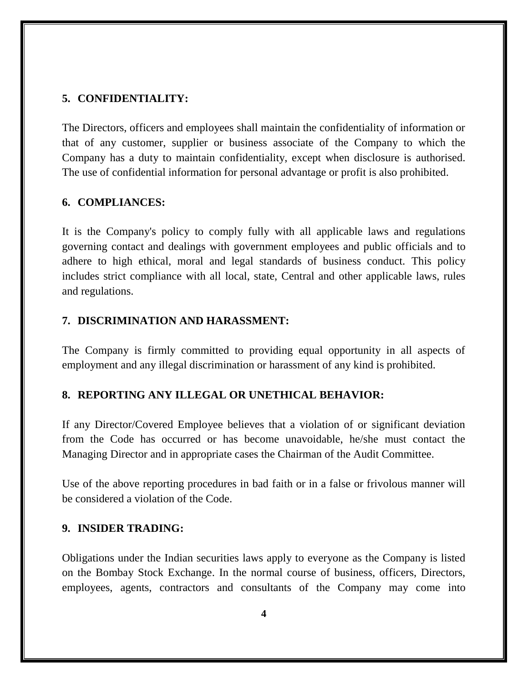# **5. CONFIDENTIALITY:**

The Directors, officers and employees shall maintain the confidentiality of information or that of any customer, supplier or business associate of the Company to which the Company has a duty to maintain confidentiality, except when disclosure is authorised. The use of confidential information for personal advantage or profit is also prohibited.

#### **6. COMPLIANCES:**

It is the Company's policy to comply fully with all applicable laws and regulations governing contact and dealings with government employees and public officials and to adhere to high ethical, moral and legal standards of business conduct. This policy includes strict compliance with all local, state, Central and other applicable laws, rules and regulations.

#### **7. DISCRIMINATION AND HARASSMENT:**

The Company is firmly committed to providing equal opportunity in all aspects of employment and any illegal discrimination or harassment of any kind is prohibited.

# **8. REPORTING ANY ILLEGAL OR UNETHICAL BEHAVIOR:**

If any Director/Covered Employee believes that a violation of or significant deviation from the Code has occurred or has become unavoidable, he/she must contact the Managing Director and in appropriate cases the Chairman of the Audit Committee.

Use of the above reporting procedures in bad faith or in a false or frivolous manner will be considered a violation of the Code.

#### **9. INSIDER TRADING:**

Obligations under the Indian securities laws apply to everyone as the Company is listed on the Bombay Stock Exchange. In the normal course of business, officers, Directors, employees, agents, contractors and consultants of the Company may come into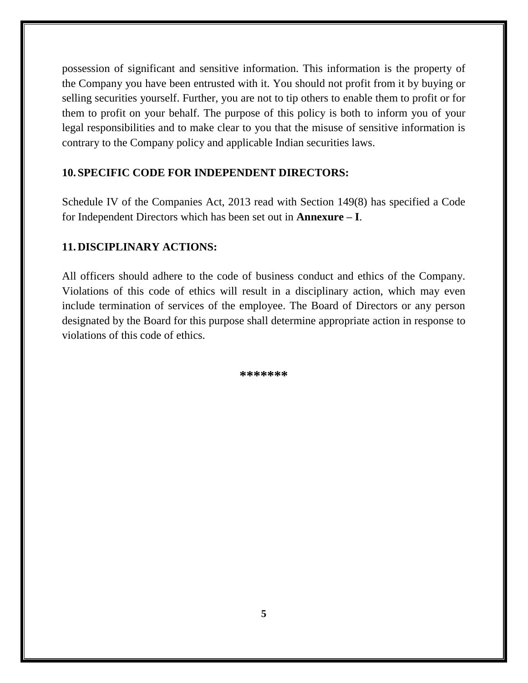possession of significant and sensitive information. This information is the property of the Company you have been entrusted with it. You should not profit from it by buying or selling securities yourself. Further, you are not to tip others to enable them to profit or for them to profit on your behalf. The purpose of this policy is both to inform you of your legal responsibilities and to make clear to you that the misuse of sensitive information is contrary to the Company policy and applicable Indian securities laws.

# **10.SPECIFIC CODE FOR INDEPENDENT DIRECTORS:**

Schedule IV of the Companies Act, 2013 read with Section 149(8) has specified a Code for Independent Directors which has been set out in **Annexure – I**.

# **11.DISCIPLINARY ACTIONS:**

All officers should adhere to the code of business conduct and ethics of the Company. Violations of this code of ethics will result in a disciplinary action, which may even include termination of services of the employee. The Board of Directors or any person designated by the Board for this purpose shall determine appropriate action in response to violations of this code of ethics.

**\*\*\*\*\*\*\***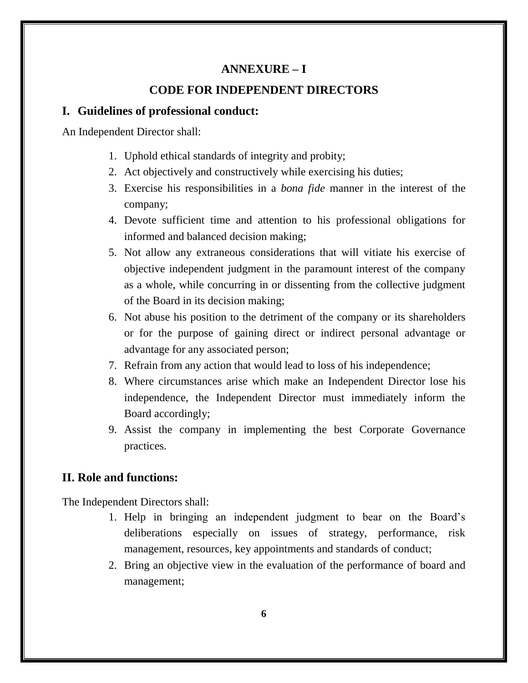# **ANNEXURE – I**

#### **CODE FOR INDEPENDENT DIRECTORS**

# **I. Guidelines of professional conduct:**

An Independent Director shall:

- 1. Uphold ethical standards of integrity and probity;
- 2. Act objectively and constructively while exercising his duties;
- 3. Exercise his responsibilities in a *bona fide* manner in the interest of the company;
- 4. Devote sufficient time and attention to his professional obligations for informed and balanced decision making;
- 5. Not allow any extraneous considerations that will vitiate his exercise of objective independent judgment in the paramount interest of the company as a whole, while concurring in or dissenting from the collective judgment of the Board in its decision making;
- 6. Not abuse his position to the detriment of the company or its shareholders or for the purpose of gaining direct or indirect personal advantage or advantage for any associated person;
- 7. Refrain from any action that would lead to loss of his independence;
- 8. Where circumstances arise which make an Independent Director lose his independence, the Independent Director must immediately inform the Board accordingly;
- 9. Assist the company in implementing the best Corporate Governance practices.

# **II. Role and functions:**

The Independent Directors shall:

- 1. Help in bringing an independent judgment to bear on the Board's deliberations especially on issues of strategy, performance, risk management, resources, key appointments and standards of conduct;
- 2. Bring an objective view in the evaluation of the performance of board and management;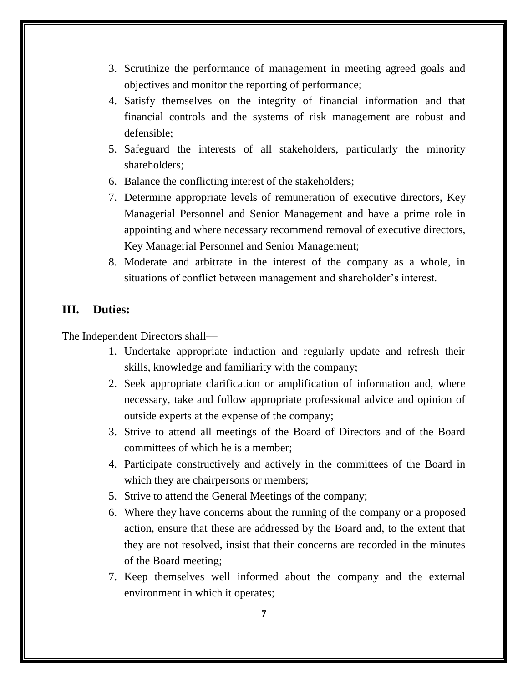- 3. Scrutinize the performance of management in meeting agreed goals and objectives and monitor the reporting of performance;
- 4. Satisfy themselves on the integrity of financial information and that financial controls and the systems of risk management are robust and defensible;
- 5. Safeguard the interests of all stakeholders, particularly the minority shareholders;
- 6. Balance the conflicting interest of the stakeholders;
- 7. Determine appropriate levels of remuneration of executive directors, Key Managerial Personnel and Senior Management and have a prime role in appointing and where necessary recommend removal of executive directors, Key Managerial Personnel and Senior Management;
- 8. Moderate and arbitrate in the interest of the company as a whole, in situations of conflict between management and shareholder's interest.

#### **III. Duties:**

The Independent Directors shall—

- 1. Undertake appropriate induction and regularly update and refresh their skills, knowledge and familiarity with the company;
- 2. Seek appropriate clarification or amplification of information and, where necessary, take and follow appropriate professional advice and opinion of outside experts at the expense of the company;
- 3. Strive to attend all meetings of the Board of Directors and of the Board committees of which he is a member;
- 4. Participate constructively and actively in the committees of the Board in which they are chairpersons or members;
- 5. Strive to attend the General Meetings of the company;
- 6. Where they have concerns about the running of the company or a proposed action, ensure that these are addressed by the Board and, to the extent that they are not resolved, insist that their concerns are recorded in the minutes of the Board meeting;
- 7. Keep themselves well informed about the company and the external environment in which it operates;